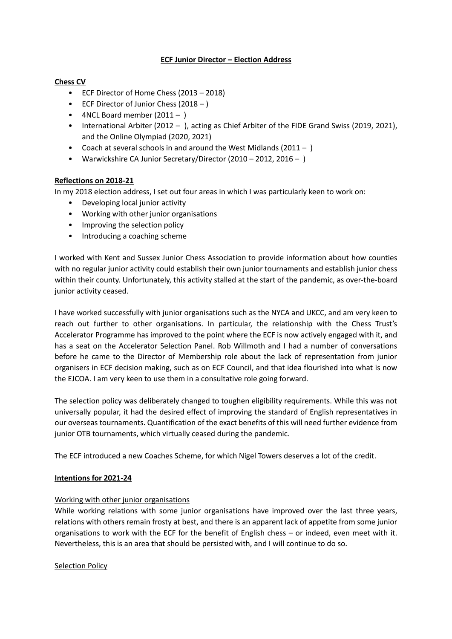# **ECF Junior Director – Election Address**

# **Chess CV**

- ECF Director of Home Chess (2013 2018)
- ECF Director of Junior Chess (2018 )
- 4NCL Board member  $(2011 )$
- International Arbiter (2012 ), acting as Chief Arbiter of the FIDE Grand Swiss (2019, 2021), and the Online Olympiad (2020, 2021)
- Coach at several schools in and around the West Midlands (2011 )
- Warwickshire CA Junior Secretary/Director (2010 2012, 2016 )

# **Reflections on 2018-21**

In my 2018 election address, I set out four areas in which I was particularly keen to work on:

- Developing local junior activity
- Working with other junior organisations
- Improving the selection policy
- Introducing a coaching scheme

I worked with Kent and Sussex Junior Chess Association to provide information about how counties with no regular junior activity could establish their own junior tournaments and establish junior chess within their county. Unfortunately, this activity stalled at the start of the pandemic, as over-the-board junior activity ceased.

I have worked successfully with junior organisations such as the NYCA and UKCC, and am very keen to reach out further to other organisations. In particular, the relationship with the Chess Trust's Accelerator Programme has improved to the point where the ECF is now actively engaged with it, and has a seat on the Accelerator Selection Panel. Rob Willmoth and I had a number of conversations before he came to the Director of Membership role about the lack of representation from junior organisers in ECF decision making, such as on ECF Council, and that idea flourished into what is now the EJCOA. I am very keen to use them in a consultative role going forward.

The selection policy was deliberately changed to toughen eligibility requirements. While this was not universally popular, it had the desired effect of improving the standard of English representatives in our overseas tournaments. Quantification of the exact benefits of this will need further evidence from junior OTB tournaments, which virtually ceased during the pandemic.

The ECF introduced a new Coaches Scheme, for which Nigel Towers deserves a lot of the credit.

#### **Intentions for 2021-24**

#### Working with other junior organisations

While working relations with some junior organisations have improved over the last three years, relations with others remain frosty at best, and there is an apparent lack of appetite from some junior organisations to work with the ECF for the benefit of English chess – or indeed, even meet with it. Nevertheless, this is an area that should be persisted with, and I will continue to do so.

#### Selection Policy